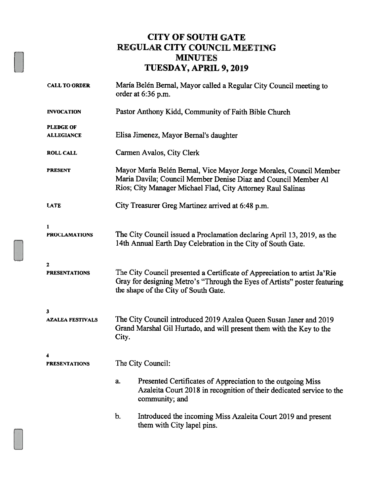## CITY OF SOUTH GATE REGULAR CITY COUNCIL MEETING MINUTES TUESDAY, APRIL 9, 2019

| <b>CALL TO ORDER</b>                  | María Belén Bernal, Mayor called a Regular City Council meeting to<br>order at 6:36 p.m.                                                                                                            |  |  |
|---------------------------------------|-----------------------------------------------------------------------------------------------------------------------------------------------------------------------------------------------------|--|--|
| <b>INVOCATION</b>                     | Pastor Anthony Kidd, Community of Faith Bible Church                                                                                                                                                |  |  |
| <b>PLEDGE OF</b><br><b>ALLEGIANCE</b> | Elisa Jimenez, Mayor Bernal's daughter                                                                                                                                                              |  |  |
| <b>ROLL CALL</b>                      | Carmen Avalos, City Clerk                                                                                                                                                                           |  |  |
| <b>PRESENT</b>                        | Mayor María Belén Bernal, Vice Mayor Jorge Morales, Council Member<br>Maria Davila; Council Member Denise Diaz and Council Member Al<br>Rios; City Manager Michael Flad, City Attorney Raul Salinas |  |  |
| <b>LATE</b>                           | City Treasurer Greg Martinez arrived at 6:48 p.m.                                                                                                                                                   |  |  |
| 1<br><b>PROCLAMATIONS</b>             | The City Council issued a Proclamation declaring April 13, 2019, as the<br>14th Annual Earth Day Celebration in the City of South Gate.                                                             |  |  |
| 2<br><b>PRESENTATIONS</b>             | The City Council presented a Certificate of Appreciation to artist Ja'Rie<br>Gray for designing Metro's "Through the Eyes of Artists" poster featuring<br>the shape of the City of South Gate.      |  |  |
| 3<br><b>AZALEA FESTIVALS</b>          | The City Council introduced 2019 Azalea Queen Susan Janer and 2019<br>Grand Marshal Gil Hurtado, and will present them with the Key to the<br>City.                                                 |  |  |
| <b>PRESENTATIONS</b>                  | The City Council:                                                                                                                                                                                   |  |  |
|                                       | Presented Certificates of Appreciation to the outgoing Miss<br>a.<br>Azaleita Court 2018 in recognition of their dedicated service to the<br>community; and                                         |  |  |
|                                       | b.<br>Introduced the incoming Miss Azaleita Court 2019 and present<br>them with City lapel pins.                                                                                                    |  |  |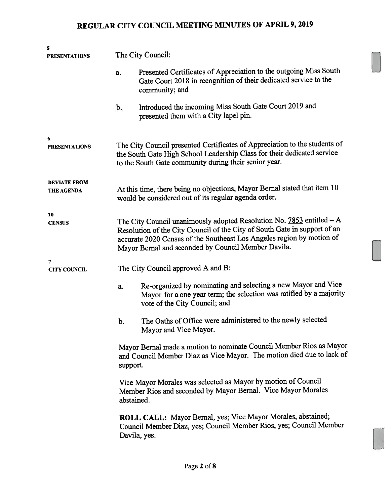| 5<br><b>PRESENTATIONS</b>         |                                                                                                                                                                                                                                                                                       | The City Council:                                                                                                                                                     |  |  |  |
|-----------------------------------|---------------------------------------------------------------------------------------------------------------------------------------------------------------------------------------------------------------------------------------------------------------------------------------|-----------------------------------------------------------------------------------------------------------------------------------------------------------------------|--|--|--|
|                                   | a.                                                                                                                                                                                                                                                                                    | Presented Certificates of Appreciation to the outgoing Miss South<br>Gate Court 2018 in recognition of their dedicated service to the<br>community; and               |  |  |  |
|                                   | b.                                                                                                                                                                                                                                                                                    | Introduced the incoming Miss South Gate Court 2019 and<br>presented them with a City lapel pin.                                                                       |  |  |  |
| 6<br><b>PRESENTATIONS</b>         | The City Council presented Certificates of Appreciation to the students of<br>the South Gate High School Leadership Class for their dedicated service<br>to the South Gate community during their senior year.                                                                        |                                                                                                                                                                       |  |  |  |
| <b>DEVIATE FROM</b><br>THE AGENDA | At this time, there being no objections, Mayor Bernal stated that item 10<br>would be considered out of its regular agenda order.                                                                                                                                                     |                                                                                                                                                                       |  |  |  |
| 10<br><b>CENSUS</b>               | The City Council unanimously adopted Resolution No. $7853$ entitled $-A$<br>Resolution of the City Council of the City of South Gate in support of an<br>accurate 2020 Census of the Southeast Los Angeles region by motion of<br>Mayor Bernal and seconded by Council Member Davila. |                                                                                                                                                                       |  |  |  |
| 7<br><b>CITY COUNCIL</b>          | The City Council approved A and B:                                                                                                                                                                                                                                                    |                                                                                                                                                                       |  |  |  |
|                                   | a.                                                                                                                                                                                                                                                                                    | Re-organized by nominating and selecting a new Mayor and Vice<br>Mayor for a one year term; the selection was ratified by a majority<br>vote of the City Council; and |  |  |  |
|                                   | b.                                                                                                                                                                                                                                                                                    | The Oaths of Office were administered to the newly selected<br>Mayor and Vice Mayor.                                                                                  |  |  |  |
|                                   | Mayor Bernal made a motion to nominate Council Member Rios as Mayor<br>and Council Member Diaz as Vice Mayor. The motion died due to lack of<br>support.                                                                                                                              |                                                                                                                                                                       |  |  |  |
|                                   | Vice Mayor Morales was selected as Mayor by motion of Council<br>Member Rios and seconded by Mayor Bernal. Vice Mayor Morales<br>abstained.                                                                                                                                           |                                                                                                                                                                       |  |  |  |
|                                   |                                                                                                                                                                                                                                                                                       | ROLL CALL: Mayor Bernal, yes; Vice Mayor Morales, abstained;<br>Council Member Diaz, yes; Council Member Rios, yes; Council Member<br>Davila, yes.                    |  |  |  |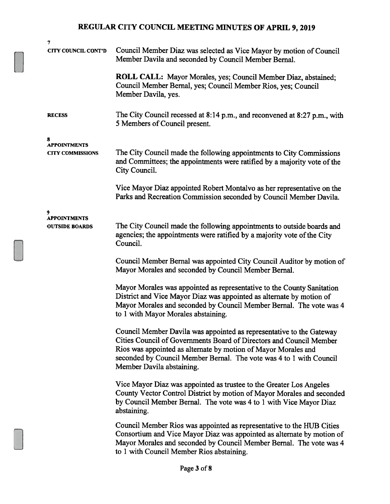| 7                                              |                                                                                                                                                                                                                                                                                                                   |
|------------------------------------------------|-------------------------------------------------------------------------------------------------------------------------------------------------------------------------------------------------------------------------------------------------------------------------------------------------------------------|
| <b>CITY COUNCIL CONT'D</b>                     | Council Member Diaz was selected as Vice Mayor by motion of Council<br>Member Davila and seconded by Council Member Bernal.                                                                                                                                                                                       |
|                                                | ROLL CALL: Mayor Morales, yes; Council Member Diaz, abstained;<br>Council Member Bernal, yes; Council Member Rios, yes; Council<br>Member Davila, yes.                                                                                                                                                            |
| <b>RECESS</b>                                  | The City Council recessed at 8:14 p.m., and reconvened at 8:27 p.m., with<br>5 Members of Council present.                                                                                                                                                                                                        |
| 8                                              |                                                                                                                                                                                                                                                                                                                   |
| <b>APPOINTMENTS</b><br><b>CITY COMMISSIONS</b> | The City Council made the following appointments to City Commissions<br>and Committees; the appointments were ratified by a majority vote of the<br>City Council.                                                                                                                                                 |
|                                                | Vice Mayor Diaz appointed Robert Montalvo as her representative on the<br>Parks and Recreation Commission seconded by Council Member Davila.                                                                                                                                                                      |
| 9                                              |                                                                                                                                                                                                                                                                                                                   |
| <b>APPOINTMENTS</b><br><b>OUTSIDE BOARDS</b>   | The City Council made the following appointments to outside boards and<br>agencies; the appointments were ratified by a majority vote of the City<br>Council.                                                                                                                                                     |
|                                                | Council Member Bernal was appointed City Council Auditor by motion of<br>Mayor Morales and seconded by Council Member Bernal.                                                                                                                                                                                     |
|                                                | Mayor Morales was appointed as representative to the County Sanitation<br>District and Vice Mayor Diaz was appointed as alternate by motion of<br>Mayor Morales and seconded by Council Member Bernal. The vote was 4<br>to 1 with Mayor Morales abstaining.                                                      |
|                                                | Council Member Davila was appointed as representative to the Gateway<br>Cities Council of Governments Board of Directors and Council Member<br>Rios was appointed as alternate by motion of Mayor Morales and<br>seconded by Council Member Bernal. The vote was 4 to 1 with Council<br>Member Davila abstaining. |
|                                                | Vice Mayor Diaz was appointed as trustee to the Greater Los Angeles<br>County Vector Control District by motion of Mayor Morales and seconded<br>by Council Member Bernal. The vote was 4 to 1 with Vice Mayor Diaz<br>abstaining.                                                                                |
|                                                | Council Member Rios was appointed as representative to the HUB Cities<br>Consortium and Vice Mayor Diaz was appointed as alternate by motion of<br>Mayor Morales and seconded by Council Member Bernal. The vote was 4<br>to 1 with Council Member Rios abstaining.                                               |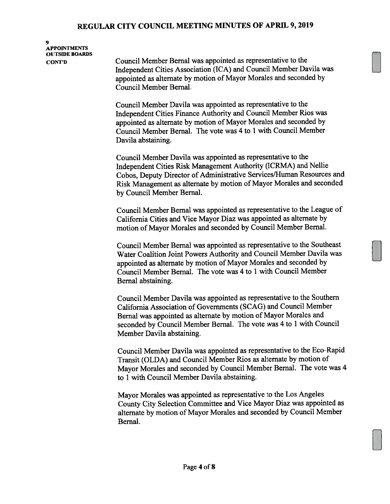9 APPOINTMENTS OITTSIDE BOARDS

cor'n Council Member Bernal was appointed as representative to the Independent Cities Association (ICA) and Council Member Davila was appointed as alternate by motion of Mayor Morales and seconded by Council Member Bernal.

> Council Member Davila was appointed as representative to the Independent Cities Finance Authority and Council Member Rios was appointed as alternate by motion of Mayor Morales and seconded by Council Member Bernal. The vote was 4 to 1 with Council Member Davila abstaining.

Council Member Davila was appointed as representative to the Independent Cities Risk Management Authority (ICRMA) and Nellie Cobos, Deputy Director of Administrative Services/Human Resources and Risk Management as alternate by motion of Mayor Morales and seconded by Council Member Bernal.

Council Member Bernal was appointed as representative to the League of California Cities and Vice Mayor Diaz was appointed as alternate by motion of Mayor Morales and seconded by Council Member Bernal.

Council Member Bernal was appointed as representative to the Southeast Water Coalition Joint Powers Authority and Council Member Davila was appointed as alternate by motion of Mayor Morales and seconded by Council Member Bernal. The vote was 4 to 1 with Council Member Bernal abstaining.

Council Member Davila was appointed as representative to the Southern California Association of Governments (SCAG) and Council Member Bernal was appointed as alternate by motion of Mayor Morales and seconded by Council Member Bernal. The vote was <sup>4</sup> to <sup>1</sup> with Council Member Davila abstaining.

Council Member Davila was appointed as representative to the Eco-Rapid Transit (OLDA) and Council Member Rios as alternate by motion of Mayor Morales and seconded by Council Member Bernal. The vote was <sup>4</sup> to 1 with Council Member Davila abstaining.

Mayor Morales was appointed as representative to the Los Angeles County City Selection Committee and Vice Mayor Diaz was appointed as alternate by motion of Mayor Morales and seconded by Council Member Bernal.

LI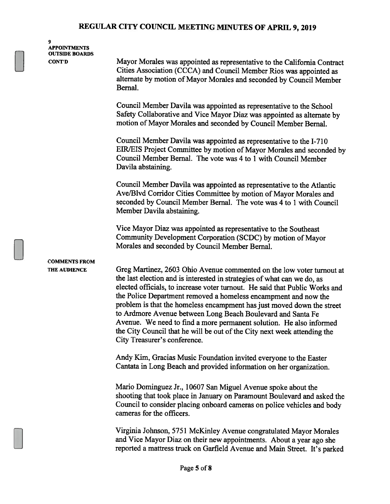9 APPOINTMENTS OUTSIDE BOARDS

C0NT'D Mayor Morales was appointed as representative to the California Contract Cities Association (CCCA) and Council Member Rios was appointed as alternate by motion of Mayor Morales and seconded by Council Member Bernal.

> Council Member Davila was appointed as representative to the School Safety Collaborative and Vice Mayor Diaz was appointed as alternate by motion of Mayor Morales and seconded by Council Member Bernal.

Council Member Davila was appointed as representative to the 1-710 EIR/EIS Project Committee by motion of Mayor Morales and seconded by Council Member Bernal. The vote was 4 to <sup>1</sup> with Council Member Davila abstaining.

Council Member Davila was appointed as representative to the Atlantic Ave/Blvd Corridor Cities Committee by motion of Mayor Morales and seconded by Council Member Bernal. The vote was 4 to <sup>1</sup> with Council Member Davila abstaining.

Vice Mayor Diaz was appointed as representative to the Southeast Community Development Corporation (SCDC) by motion of Mayor Morales and seconded by Council Member Bernal.

# COMMENTS FROM

THE AUDIENCE Greg Martinez, 2603 Ohio Avenue commented on the low voter turnout at the last election and is interested in strategies of what can we do, as elected officials, to increase voter turnout. He said that Public Works and the Police Department removed a homeless encampment and now the problem is that the homeless encampment has just moved down the street to Ardmore Avenue between Long Beach Boulevard and Santa Fe Avenue. We need to find a more permanent solution. He also informed the City Council that he will be out of the City next week attending the City Treasurer's conference.

> Andy Kim, Gracias Music Foundation invited everyone to the Easter Cantata in Long Beach and provided information on her organization.

Mario Dominguez Jr., 10607 San Miguel Avenue spoke about the shooting that took place in January on Paramount Boulevard and asked the Council to consider placing onboard cameras on police vehicles and body cameras for the officers.

Virginia Johnson, 5751 McKinley Avenue congratulated Mayor Morales and Vice Mayor Diaz on their new appointments. About a year ago she reported a mattress truck on Garfield Avenue and Main Street. It's parked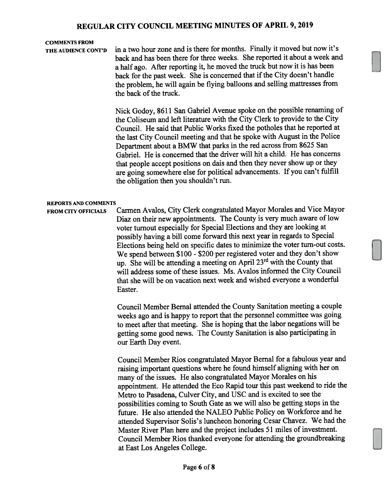### COMMENTS FROM

THE AUDIENCE CONT'D in <sup>a</sup> two hour zone and is there for months. Finally it moved but now it's back and has been there for three weeks. She reported it about <sup>a</sup> week and <sup>a</sup> half ago. After reporting it, he moved the truck but now it is has been back for the past week. She is concerned that if the City doesn't handle the problem, he will again be flying balloons and selling mattresses from the back of the truck.

> Nick Godoy, <sup>8611</sup> San Gabriel Avenue spoke on the possible renaming of the Coliseum and left literature with the City Clerk to provide to the City Council. He said that Public Works fixed the potholes that he reported at the last City Council meeting and that he spoke with August in the Police Department about <sup>a</sup> BMW that parks in the red across from <sup>8625</sup> San Gabriel. He is concerned that the driver will hit <sup>a</sup> child. He has concerns that people accep<sup>t</sup> positions on dais and then they never show up or they are going somewhere else for political advancements. If you can't fulfill the obligation then you shouldn't run.

#### REPORTS AND COMMENTS

FROM CITY OFFICIALS Carmen Avalos, City Clerk congratulated Mayor Morales and Vice Mayor Diaz on their new appointments. The County is very much aware of low voter turnout especially for Special Elections and they are looking at possibly having <sup>a</sup> bill come forward this next year in regards to Special Elections being held on specific dates to minimize the voter turn-out costs. We spen<sup>d</sup> between \$100 - \$200 per registered voter and they don't show up. She will be attending a meeting on April 23<sup>rd</sup> with the County that will address some of these issues. Ms. Avalos informed the City Council that she will be on vacation next week and wished everyone <sup>a</sup> wonderful Easter.

> Council Member Bernal attended the County Sanitation meeting <sup>a</sup> couple weeks ago and is happy to repor<sup>t</sup> that the personne<sup>l</sup> committee was going to meet after that meeting. She is hoping that the labor negations will be getting some goo<sup>d</sup> news. The County Sanitation is also participating in our Earth Day event.

Council Member Rios congratulated Mayor Bernal for <sup>a</sup> fabulous year and raising important questions where he found himself aligning with her on many of the issues. He also congratulated Mayor Morales on his appointment. He attended the Eco Rapid tour this pas<sup>t</sup> weekend to ride the Metro to Pasadena, Culver City, and USC and is excited to see the possibilities coming to South Gate as we will also be getting stops in the future. He also attended the NALEO Public Policy on Workforce and he attended Supervisor Solis's luncheon honoring Cesar Chavez. We had the Master River Plan here and the project includes 51 miles of investment. Council Member Rios thanked everyone for attending the groundbreaking at East Los Angeles College.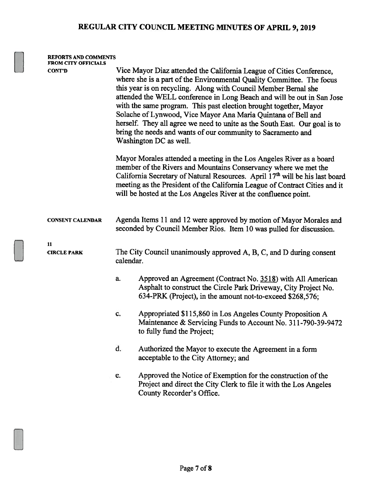| <b>REPORTS AND COMMENTS</b><br><b>FROM CITY OFFICIALS</b> |                                                                                                                                                                                                                                                                                                                                                                                                                                                                                                                                                                                                          |                                                                                                                                                                                             |  |  |  |
|-----------------------------------------------------------|----------------------------------------------------------------------------------------------------------------------------------------------------------------------------------------------------------------------------------------------------------------------------------------------------------------------------------------------------------------------------------------------------------------------------------------------------------------------------------------------------------------------------------------------------------------------------------------------------------|---------------------------------------------------------------------------------------------------------------------------------------------------------------------------------------------|--|--|--|
| <b>CONT'D</b>                                             | Vice Mayor Diaz attended the California League of Cities Conference,<br>where she is a part of the Environmental Quality Committee. The focus<br>this year is on recycling. Along with Council Member Bernal she<br>attended the WELL conference in Long Beach and will be out in San Jose<br>with the same program. This past election brought together, Mayor<br>Solache of Lynwood, Vice Mayor Ana Maria Quintana of Bell and<br>herself. They all agree we need to unite as the South East. Our goal is to<br>bring the needs and wants of our community to Sacramento and<br>Washington DC as well. |                                                                                                                                                                                             |  |  |  |
|                                                           | Mayor Morales attended a meeting in the Los Angeles River as a board<br>member of the Rivers and Mountains Conservancy where we met the<br>California Secretary of Natural Resources. April 17th will be his last board<br>meeting as the President of the California League of Contract Cities and it<br>will be hosted at the Los Angeles River at the confluence point.                                                                                                                                                                                                                               |                                                                                                                                                                                             |  |  |  |
| <b>CONSENT CALENDAR</b>                                   | Agenda Items 11 and 12 were approved by motion of Mayor Morales and<br>seconded by Council Member Rios. Item 10 was pulled for discussion.                                                                                                                                                                                                                                                                                                                                                                                                                                                               |                                                                                                                                                                                             |  |  |  |
| 11<br><b>CIRCLE PARK</b>                                  | calendar.                                                                                                                                                                                                                                                                                                                                                                                                                                                                                                                                                                                                | The City Council unanimously approved A, B, C, and D during consent                                                                                                                         |  |  |  |
|                                                           | a.                                                                                                                                                                                                                                                                                                                                                                                                                                                                                                                                                                                                       | Approved an Agreement (Contract No. 3518) with All American<br>Asphalt to construct the Circle Park Driveway, City Project No.<br>634-PRK (Project), in the amount not-to-exceed \$268,576; |  |  |  |
|                                                           | c.                                                                                                                                                                                                                                                                                                                                                                                                                                                                                                                                                                                                       | Appropriated \$115,860 in Los Angeles County Proposition A<br>Maintenance & Servicing Funds to Account No. 311-790-39-9472<br>to fully fund the Project;                                    |  |  |  |
|                                                           | d.                                                                                                                                                                                                                                                                                                                                                                                                                                                                                                                                                                                                       | Authorized the Mayor to execute the Agreement in a form<br>acceptable to the City Attorney; and                                                                                             |  |  |  |
|                                                           | e.                                                                                                                                                                                                                                                                                                                                                                                                                                                                                                                                                                                                       | Approved the Notice of Exemption for the construction of the<br>Project and direct the City Clerk to file it with the Los Angeles<br>County Recorder's Office.                              |  |  |  |